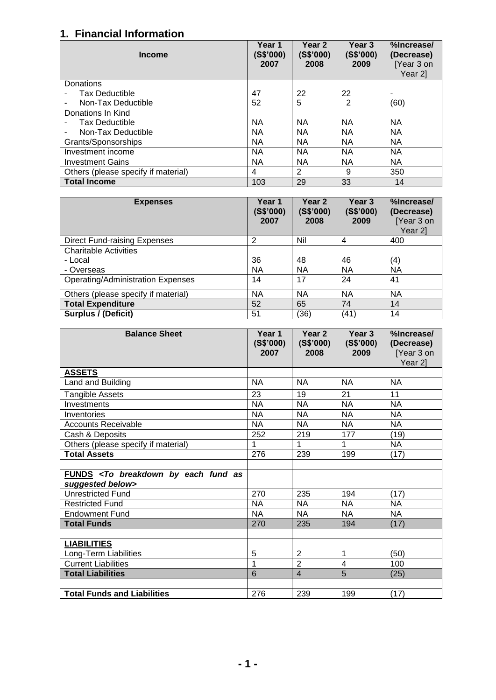## **1. Financial Information**

| <b>Income</b>                       | Year 1<br>(S\$'000)<br>2007 | Year <sub>2</sub><br>(S\$'000)<br>2008 | Year 3<br>(S\$'000)<br>2009 | %Increase/<br>(Decrease)<br>[Year 3 on<br>Year 21 |
|-------------------------------------|-----------------------------|----------------------------------------|-----------------------------|---------------------------------------------------|
| Donations                           |                             |                                        |                             |                                                   |
| <b>Tax Deductible</b>               | 47                          | 22                                     | 22                          |                                                   |
| Non-Tax Deductible                  | 52                          | 5                                      | 2                           | (60)                                              |
| Donations In Kind                   |                             |                                        |                             |                                                   |
| <b>Tax Deductible</b>               | ΝA                          | ΝA                                     | ΝA                          | <b>NA</b>                                         |
| Non-Tax Deductible                  | NA                          | <b>NA</b>                              | ΝA                          | <b>NA</b>                                         |
| Grants/Sponsorships                 | <b>NA</b>                   | <b>NA</b>                              | <b>NA</b>                   | <b>NA</b>                                         |
| Investment income                   | <b>NA</b>                   | <b>NA</b>                              | ΝA                          | <b>NA</b>                                         |
| <b>Investment Gains</b>             | <b>NA</b>                   | <b>NA</b>                              | NA                          | <b>NA</b>                                         |
| Others (please specify if material) | 4                           | 2                                      | 9                           | 350                                               |
| <b>Total Income</b>                 | 103                         | 29                                     | 33                          | 14                                                |

| <b>Expenses</b>                          | Year 1<br>(S\$'000)<br>2007 | Year 2<br>(S\$'000)<br>2008 | Year 3<br>(S\$'000)<br>2009 | %Increase/<br>(Decrease)<br>[Year 3 on<br>Year 21 |
|------------------------------------------|-----------------------------|-----------------------------|-----------------------------|---------------------------------------------------|
| <b>Direct Fund-raising Expenses</b>      | 2                           | Nil                         | 4                           | 400                                               |
| <b>Charitable Activities</b>             |                             |                             |                             |                                                   |
| - Local                                  | 36                          | 48                          | 46                          | (4)                                               |
| - Overseas                               | <b>NA</b>                   | <b>NA</b>                   | NA                          | <b>NA</b>                                         |
| <b>Operating/Administration Expenses</b> | 14                          | 17                          | 24                          | 41                                                |
| Others (please specify if material)      | <b>NA</b>                   | <b>NA</b>                   | <b>NA</b>                   | <b>NA</b>                                         |
| <b>Total Expenditure</b>                 | 52                          | 65                          | 74                          | 14                                                |
| <b>Surplus / (Deficit)</b>               | 51                          | (36)                        | (41)                        | 14                                                |

| <b>Balance Sheet</b>                                                           | Year 1<br>(S\$'000)<br>2007 | Year 2<br>(S\$'000)<br>2008 | Year 3<br>(S\$'000)<br>2009 | %Increase/<br>(Decrease)<br>[Year 3 on<br>Year 2] |
|--------------------------------------------------------------------------------|-----------------------------|-----------------------------|-----------------------------|---------------------------------------------------|
| <b>ASSETS</b>                                                                  |                             |                             |                             |                                                   |
| Land and Building                                                              | <b>NA</b>                   | <b>NA</b>                   | <b>NA</b>                   | <b>NA</b>                                         |
| Tangible Assets                                                                | 23                          | 19                          | 21                          | 11                                                |
| Investments                                                                    | <b>NA</b>                   | <b>NA</b>                   | <b>NA</b>                   | <b>NA</b>                                         |
| Inventories                                                                    | <b>NA</b>                   | <b>NA</b>                   | <b>NA</b>                   | <b>NA</b>                                         |
| <b>Accounts Receivable</b>                                                     | <b>NA</b>                   | <b>NA</b>                   | <b>NA</b>                   | <b>NA</b>                                         |
| Cash & Deposits                                                                | 252                         | 219                         | 177                         | (19)                                              |
| Others (please specify if material)                                            |                             | 1                           | 1                           | <b>NA</b>                                         |
| <b>Total Assets</b>                                                            | 276                         | 239                         | 199                         | (17)                                              |
|                                                                                |                             |                             |                             |                                                   |
| FUNDS <to as<br="" breakdown="" by="" each="" fund="">suggested below&gt;</to> |                             |                             |                             |                                                   |
| <b>Unrestricted Fund</b>                                                       | 270                         | 235                         | 194                         | (17)                                              |
| <b>Restricted Fund</b>                                                         | <b>NA</b>                   | NA                          | <b>NA</b>                   | <b>NA</b>                                         |
| <b>Endowment Fund</b>                                                          | <b>NA</b>                   | <b>NA</b>                   | <b>NA</b>                   | <b>NA</b>                                         |
| <b>Total Funds</b>                                                             | 270                         | 235                         | 194                         | (17)                                              |
|                                                                                |                             |                             |                             |                                                   |
| <b>LIABILITIES</b>                                                             |                             |                             |                             |                                                   |
| Long-Term Liabilities                                                          | 5                           | $\overline{2}$              | 1                           | (50)                                              |
| <b>Current Liabilities</b>                                                     | 1                           | $\overline{2}$              | $\overline{4}$              | 100                                               |
| <b>Total Liabilities</b>                                                       | 6                           | $\overline{4}$              | 5                           | (25)                                              |
|                                                                                |                             |                             |                             |                                                   |
| <b>Total Funds and Liabilities</b>                                             | 276                         | 239                         | 199                         | (17)                                              |